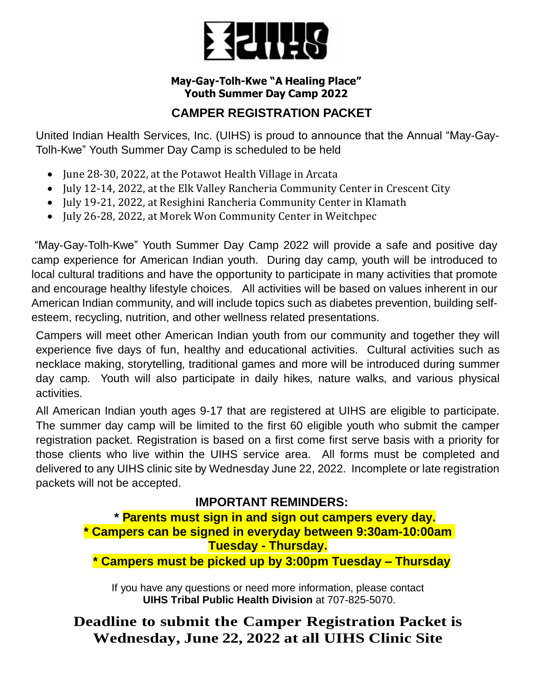

## **May-Gay-Tolh-Kwe "A Healing Place" Youth Summer Day Camp 2022**

# **CAMPER REGISTRATION PACKET**

United Indian Health Services, Inc. (UIHS) is proud to announce that the Annual "May-Gay-Tolh-Kwe" Youth Summer Day Camp is scheduled to be held

- June 28-30, 2022, at the Potawot Health Village in Arcata
- July 12-14, 2022, at the Elk Valley Rancheria Community Center in Crescent City
- July 19-21, 2022, at Resighini Rancheria Community Center in Klamath
- July 26-28, 2022, at Morek Won Community Center in Weitchpec

"May-Gay-Tolh-Kwe" Youth Summer Day Camp 2022 will provide a safe and positive day camp experience for American Indian youth. During day camp, youth will be introduced to local cultural traditions and have the opportunity to participate in many activities that promote and encourage healthy lifestyle choices. All activities will be based on values inherent in our American Indian community, and will include topics such as diabetes prevention, building selfesteem, recycling, nutrition, and other wellness related presentations.

Campers will meet other American Indian youth from our community and together they will experience five days of fun, healthy and educational activities. Cultural activities such as necklace making, storytelling, traditional games and more will be introduced during summer day camp. Youth will also participate in daily hikes, nature walks, and various physical activities.

All American Indian youth ages 9-17 that are registered at UIHS are eligible to participate. The summer day camp will be limited to the first 60 eligible youth who submit the camper registration packet. Registration is based on a first come first serve basis with a priority for those clients who live within the UIHS service area. All forms must be completed and delivered to any UIHS clinic site by Wednesday June 22, 2022. Incomplete or late registration packets will not be accepted.

# **IMPORTANT REMINDERS:**

**\* Parents must sign in and sign out campers every day. \* Campers can be signed in everyday between 9:30am-10:00am Tuesday - Thursday. \* Campers must be picked up by 3:00pm Tuesday – Thursday**

If you have any questions or need more information, please contact **UIHS Tribal Public Health Division** at 707-825-5070.

**Deadline to submit the Camper Registration Packet is Wednesday, June 22, 2022 at all UIHS Clinic Site**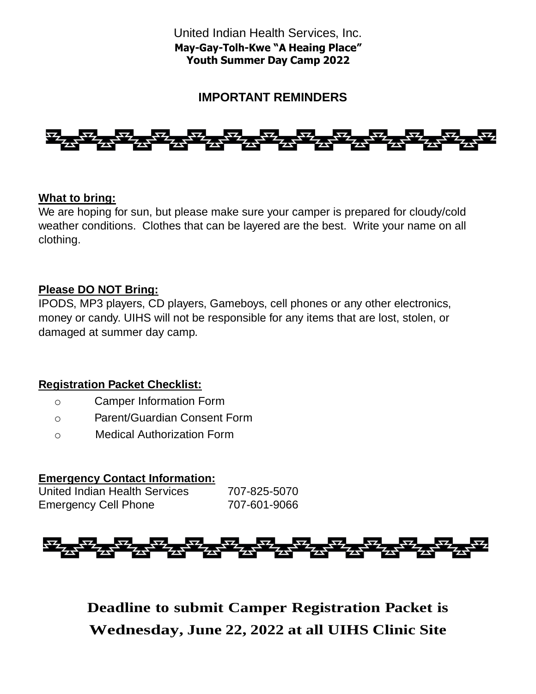# **IMPORTANT REMINDERS**



### **What to bring:**

We are hoping for sun, but please make sure your camper is prepared for cloudy/cold weather conditions. Clothes that can be layered are the best. Write your name on all clothing.

### **Please DO NOT Bring:**

IPODS, MP3 players, CD players, Gameboys, cell phones or any other electronics, money or candy. UIHS will not be responsible for any items that are lost, stolen, or damaged at summer day camp.

### **Registration Packet Checklist:**

- o Camper Information Form
- o Parent/Guardian Consent Form
- o Medical Authorization Form

### **Emergency Contact Information:**

United Indian Health Services 707-825-5070 Emergency Cell Phone 707-601-9066

**Deadline to submit Camper Registration Packet is Wednesday, June 22, 2022 at all UIHS Clinic Site**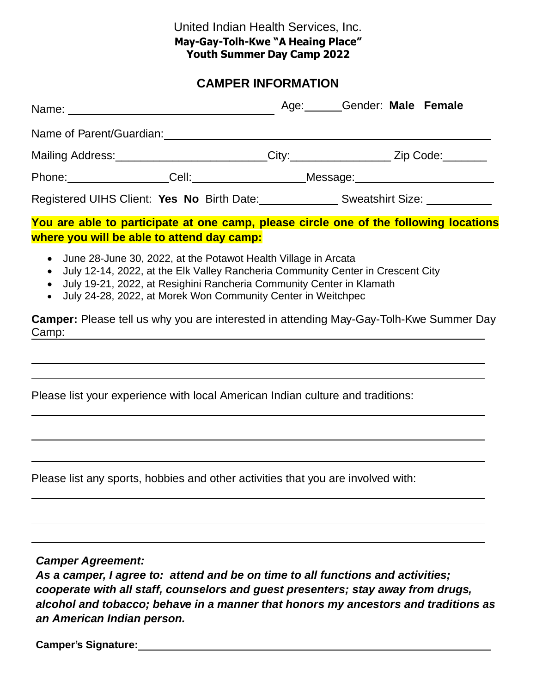### United Indian Health Services, Inc. **May-Gay-Tolh-Kwe "A Heaing Place" Youth Summer Day Camp 2022**

# **CAMPER INFORMATION**

|                                                                                                                                                                                                                                                                                                                                                                                                                                   |                                                                                                                  | Age: Gender: Male Female             |  |
|-----------------------------------------------------------------------------------------------------------------------------------------------------------------------------------------------------------------------------------------------------------------------------------------------------------------------------------------------------------------------------------------------------------------------------------|------------------------------------------------------------------------------------------------------------------|--------------------------------------|--|
|                                                                                                                                                                                                                                                                                                                                                                                                                                   |                                                                                                                  |                                      |  |
| Mailing Address: __________________________City: ___________________Zip Code: ________                                                                                                                                                                                                                                                                                                                                            |                                                                                                                  |                                      |  |
|                                                                                                                                                                                                                                                                                                                                                                                                                                   |                                                                                                                  | Phone: Cell: Cell: Message: Message: |  |
| Registered UIHS Client: Yes No Birth Date: ________________Sweatshirt Size: ____________                                                                                                                                                                                                                                                                                                                                          |                                                                                                                  |                                      |  |
| You are able to participate at one camp, please circle one of the following locations<br>where you will be able to attend day camp:                                                                                                                                                                                                                                                                                               |                                                                                                                  |                                      |  |
| June 28-June 30, 2022, at the Potawot Health Village in Arcata<br>July 12-14, 2022, at the Elk Valley Rancheria Community Center in Crescent City<br>$\bullet$<br>July 19-21, 2022, at Resighini Rancheria Community Center in Klamath<br>$\bullet$<br>July 24-28, 2022, at Morek Won Community Center in Weitchpec<br>$\bullet$<br><b>Camper:</b> Please tell us why you are interested in attending May-Gay-Tolh-Kwe Summer Day |                                                                                                                  |                                      |  |
| Camp:                                                                                                                                                                                                                                                                                                                                                                                                                             | and the control of the control of the control of the control of the control of the control of the control of the |                                      |  |
| Please list your experience with local American Indian culture and traditions:                                                                                                                                                                                                                                                                                                                                                    |                                                                                                                  |                                      |  |
| Please list any sports, hobbies and other activities that you are involved with:                                                                                                                                                                                                                                                                                                                                                  |                                                                                                                  |                                      |  |
| <b>Camper Agreement:</b><br>As a camper, I agree to: attend and be on time to all functions and activities;                                                                                                                                                                                                                                                                                                                       |                                                                                                                  |                                      |  |

*cooperate with all staff, counselors and guest presenters; stay away from drugs, alcohol and tobacco; behave in a manner that honors my ancestors and traditions as an American Indian person.*

**Camper's Signature:**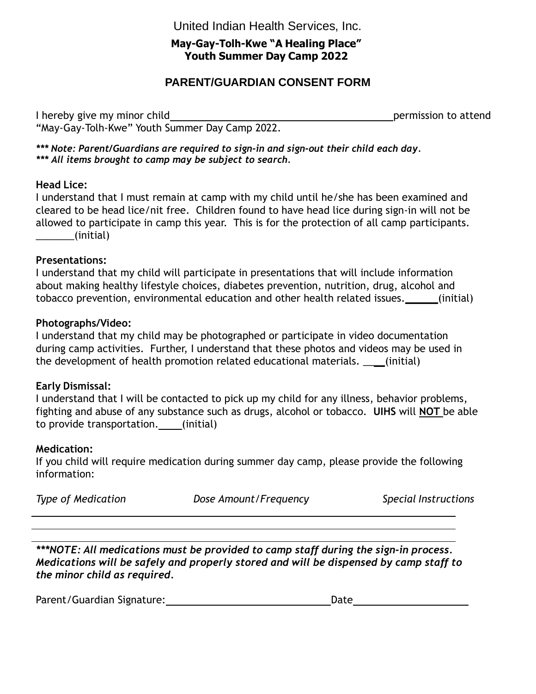United Indian Health Services, Inc.

### **May-Gay-Tolh-Kwe "A Healing Place" Youth Summer Day Camp 2022**

# **PARENT/GUARDIAN CONSENT FORM**

I hereby give my minor child **permission** to attend "May-Gay-Tolh-Kwe" Youth Summer Day Camp 2022.

*\*\*\* Note: Parent/Guardians are required to sign-in and sign-out their child each day. \*\*\* All items brought to camp may be subject to search.*

### **Head Lice:**

I understand that I must remain at camp with my child until he/she has been examined and cleared to be head lice/nit free. Children found to have head lice during sign-in will not be allowed to participate in camp this year. This is for the protection of all camp participants. \_\_\_\_\_\_\_(initial)

#### **Presentations:**

I understand that my child will participate in presentations that will include information about making healthy lifestyle choices, diabetes prevention, nutrition, drug, alcohol and tobacco prevention, environmental education and other health related issues.\_\_\_\_\_\_(initial)

#### **Photographs/Video:**

I understand that my child may be photographed or participate in video documentation during camp activities. Further, I understand that these photos and videos may be used in the development of health promotion related educational materials. \_\_\_\_(initial)

### **Early Dismissal:**

I understand that I will be contacted to pick up my child for any illness, behavior problems, fighting and abuse of any substance such as drugs, alcohol or tobacco. **UIHS** will **NOT** be able to provide transportation. (initial)

### **Medication:**

If you child will require medication during summer day camp, please provide the following information:

| <b>Type of Medication</b> | Dose Amount/Frequency | Special Instructions |
|---------------------------|-----------------------|----------------------|
|---------------------------|-----------------------|----------------------|

*\*\*\*NOTE: All medications must be provided to camp staff during the sign-in process. Medications will be safely and properly stored and will be dispensed by camp staff to the minor child as required.*

Parent/Guardian Signature: Date